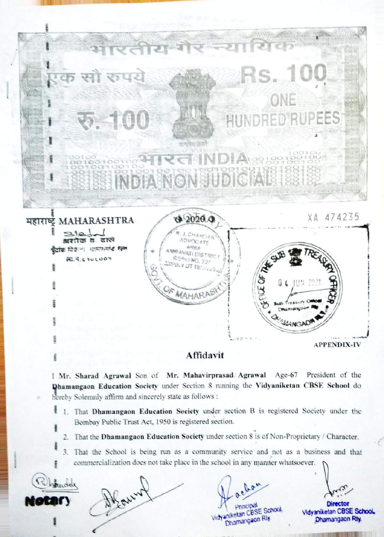ਦਰ ਧਾਣ PEES तात्प्रमेष जय INDIANONSUDICIA  $H\overline{B}$  MAHARASHTRA  $\overline{A}$   $\overline{2020}$   $\overline{4}$   $\overline{9}$   $\overline{2020}$   $\overline{474235}$  $2121$ J. CHANDAR श्रशीक ठ. दल्ले ADVOCATE ग्रोक विके.- । धामणगरंद रूल AREA AREA<br>AMRAVATI DISTRIC READ NO. 721 **RC. R. & ROLOOM** Pih / UT 18 HIM 29 OF MAHARA CR SEAMS APPENDIX-IV

## Affidavit

I Mr. Sharad Agrawal Son of Mr. Mahavirprasad Agrawal Age-67 President of the hamangaon Education Society under Section S running the Vidyaniketan CBSE School do hereby Solemnly affirm and sincerely state as follows :

- 1. That Dhamangaon Education Society under section B is registered Society under the itz Bombay Public Trust Act, 1950 is registered section.
	- 2. That the Dhamangaon Education Society under section 8 is of Non-Proprietary / Character.
	- 3. That the School is being run as a community service and not as a business and that commercialization does not take place in the school in any manner whatsoever.

ndar

Earlyn

Principal Director aniketan CBSE School. Vidyaniketan CBS

Ohamangaon Dhamangaon Rly.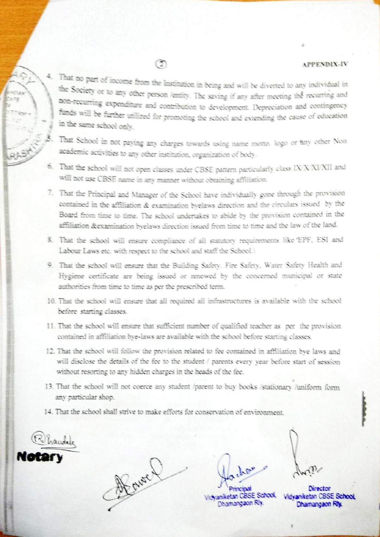## **APPENDIX-IV**

4. That no part of income from the Institution in being and will be diverted to any individual in the Society or to any other person /entity. The saving if any after meeting the recurring and non-recurring expenditure and contribution to development. Depreciation and contingency funds will be further utilized for promoting the school and extending the cause of education in the same school only.

- That School in not paying any charges towards using name motto. logo or any other Non academic activities to any other institution, organization of body.
- 6. That the school will not open classes under CBSE pattern particularly class IX/X/XI/XII and will not use CBSE name in any manner without obtaining affiliation.
- 7. That the Principal and Manager of the School have individually gone through the provision contained in the affiliation & examination byelaws direction and the circulars issued by the Board from time to time. The school undertakes to abide by the provision contained in the affiliation &examination byelaws direction issued from time to time and the law of the land.
- 8. That the school will ensure compliance of all statutory requirements like 'EPF, ESI and Labour Laws etc. with respect to the school and staff the School.1
- 9. That the school will ensure that the Building Safety. Fire Safety, Water Safety Health and Hygiene certificate are being issued or renewed by the concerned municipal or state authorities from time to time as per the prescribed term.
- 10. That the school will ensure that all required all infrastructures is available with the school before starting classes.
- 11. That the school will ensure that sufficient number of qualified teacher as per the provision contained in affiliation bye-laws are available with the school before starting classes.
- 12. That the school will follow the provision related to fee contained in affiliation bye laws and will disclose the details of the fee to the student / parents every year before start of session without resorting to any hidden charges in the heads of the fee.
- 13. That the school will not coerce any student /parent to buy books /stationary /uniform form any particular shop.
- 14. That the school shall strive to make efforts for conservation of environment.

handele

A Cure

Vichaniketan CBSE School Dhamangaon Riy.

Vidvaniketan CBSE School Dhamangaon Riy.